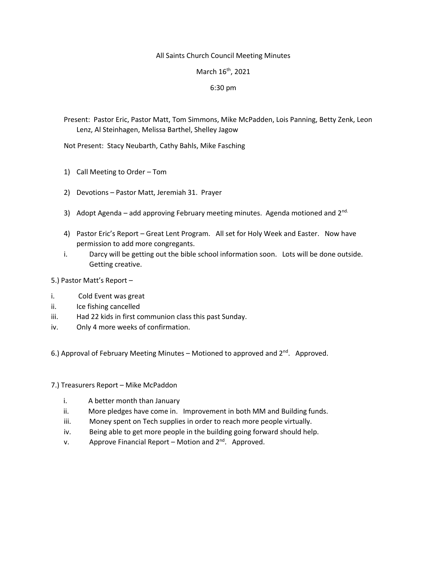## All Saints Church Council Meeting Minutes

## March 16<sup>th</sup>, 2021

## 6:30 pm

Present: Pastor Eric, Pastor Matt, Tom Simmons, Mike McPadden, Lois Panning, Betty Zenk, Leon Lenz, Al Steinhagen, Melissa Barthel, Shelley Jagow

Not Present: Stacy Neubarth, Cathy Bahls, Mike Fasching

- 1) Call Meeting to Order Tom
- 2) Devotions Pastor Matt, Jeremiah 31. Prayer
- 3) Adopt Agenda add approving February meeting minutes. Agenda motioned and  $2^{nd}$
- 4) Pastor Eric's Report Great Lent Program. All set for Holy Week and Easter. Now have permission to add more congregants.
- i. Darcy will be getting out the bible school information soon. Lots will be done outside. Getting creative.

5.) Pastor Matt's Report –

- i. Cold Event was great
- ii. Ice fishing cancelled
- iii. Had 22 kids in first communion class this past Sunday.
- iv. Only 4 more weeks of confirmation.

6.) Approval of February Meeting Minutes – Motioned to approved and 2nd. Approved.

- 7.) Treasurers Report Mike McPaddon
	- i. A better month than January
	- ii. More pledges have come in. Improvement in both MM and Building funds.
	- iii. Money spent on Tech supplies in order to reach more people virtually.
	- iv. Being able to get more people in the building going forward should help.
	- v. Approve Financial Report Motion and  $2^{nd}$ . Approved.